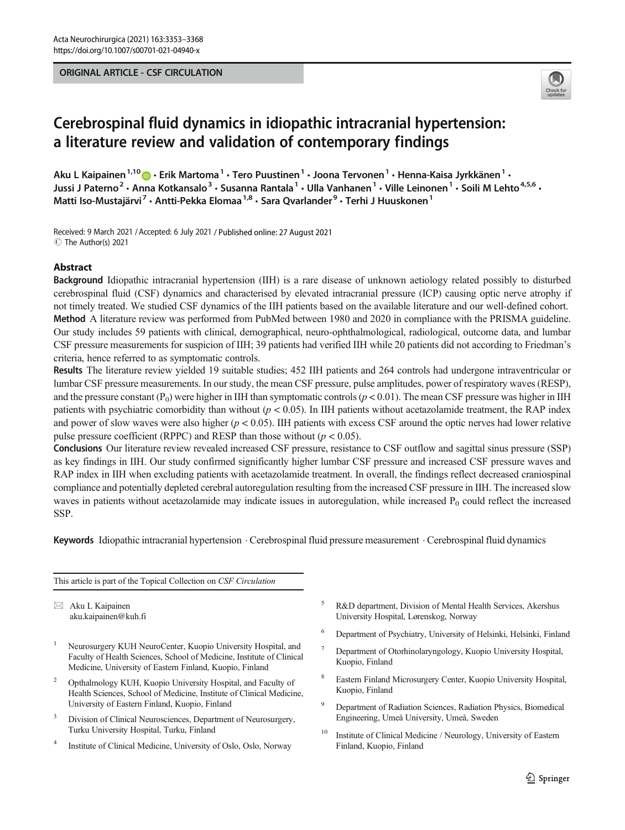### ORIGINAL ARTICLE - CSF CIRCULATION



# Cerebrospinal fluid dynamics in idiopathic intracranial hypertension: a literature review and validation of contemporary findings

Aku L Kaipainen<sup>1,10</sup>  $\odot$  · Erik Martoma<sup>1</sup> · Tero Puustinen<sup>1</sup> · Joona Tervonen<sup>1</sup> · Henna-Kaisa Jyrkkänen<sup>1</sup> · Jussi J Paterno<sup>2</sup> • Anna Kotkansalo<sup>3</sup> • Susanna Rantala<sup>1</sup> • Ulla Vanhanen<sup>1</sup> • Ville Leinonen<sup>1</sup> • Soili M Lehto<sup>4,5,6</sup> • Matti Iso-Mustajärvi<sup>7</sup> • Antti-Pekka Elomaa<sup>1,8</sup> • Sara Qvarlander<sup>9</sup> • Terhi J Huuskonen<sup>1</sup>

Received: 9 March 2021 /Accepted: 6 July 2021 / Published online: 27 August 2021  $\circledcirc$  The Author(s) 2021

### Abstract

Background Idiopathic intracranial hypertension (IIH) is a rare disease of unknown aetiology related possibly to disturbed cerebrospinal fluid (CSF) dynamics and characterised by elevated intracranial pressure (ICP) causing optic nerve atrophy if not timely treated. We studied CSF dynamics of the IIH patients based on the available literature and our well-defined cohort. Method A literature review was performed from PubMed between 1980 and 2020 in compliance with the PRISMA guideline. Our study includes 59 patients with clinical, demographical, neuro-ophthalmological, radiological, outcome data, and lumbar CSF pressure measurements for suspicion of IIH; 39 patients had verified IIH while 20 patients did not according to Friedman's criteria, hence referred to as symptomatic controls.

Results The literature review yielded 19 suitable studies; 452 IIH patients and 264 controls had undergone intraventricular or lumbar CSF pressure measurements. In our study, the mean CSF pressure, pulse amplitudes, power of respiratory waves (RESP), and the pressure constant  $(P_0)$  were higher in IIH than symptomatic controls ( $p < 0.01$ ). The mean CSF pressure was higher in IIH patients with psychiatric comorbidity than without ( $p < 0.05$ ). In IIH patients without acetazolamide treatment, the RAP index and power of slow waves were also higher  $(p < 0.05)$ . IIH patients with excess CSF around the optic nerves had lower relative pulse pressure coefficient (RPPC) and RESP than those without ( $p < 0.05$ ).

Conclusions Our literature review revealed increased CSF pressure, resistance to CSF outflow and sagittal sinus pressure (SSP) as key findings in IIH. Our study confirmed significantly higher lumbar CSF pressure and increased CSF pressure waves and RAP index in IIH when excluding patients with acetazolamide treatment. In overall, the findings reflect decreased craniospinal compliance and potentially depleted cerebral autoregulation resulting from the increased CSF pressure in IIH. The increased slow waves in patients without acetazolamide may indicate issues in autoregulation, while increased  $P_0$  could reflect the increased SSP.

Keywords Idiopathic intracranial hypertension . Cerebrospinal fluid pressure measurement . Cerebrospinal fluid dynamics

This article is part of the Topical Collection on CSF Circulation

 $\boxtimes$  Aku L Kaipainen [aku.kaipainen@kuh.fi](mailto:aku.kaipainen@kuh.fi)

- <sup>1</sup> Neurosurgery KUH NeuroCenter, Kuopio University Hospital, and Faculty of Health Sciences, School of Medicine, Institute of Clinical Medicine, University of Eastern Finland, Kuopio, Finland
- <sup>2</sup> Opthalmology KUH, Kuopio University Hospital, and Faculty of Health Sciences, School of Medicine, Institute of Clinical Medicine, University of Eastern Finland, Kuopio, Finland
- <sup>3</sup> Division of Clinical Neurosciences, Department of Neurosurgery, Turku University Hospital, Turku, Finland
- Institute of Clinical Medicine, University of Oslo, Oslo, Norway
- <sup>5</sup> R&D department, Division of Mental Health Services, Akershus University Hospital, Lørenskog, Norway
- <sup>6</sup> Department of Psychiatry, University of Helsinki, Helsinki, Finland
- <sup>7</sup> Department of Otorhinolaryngology, Kuopio University Hospital, Kuopio, Finland
- <sup>8</sup> Eastern Finland Microsurgery Center, Kuopio University Hospital, Kuopio, Finland
- <sup>9</sup> Department of Radiation Sciences, Radiation Physics, Biomedical Engineering, Umeå University, Umeå, Sweden
- <sup>10</sup> Institute of Clinical Medicine / Neurology, University of Eastern Finland, Kuopio, Finland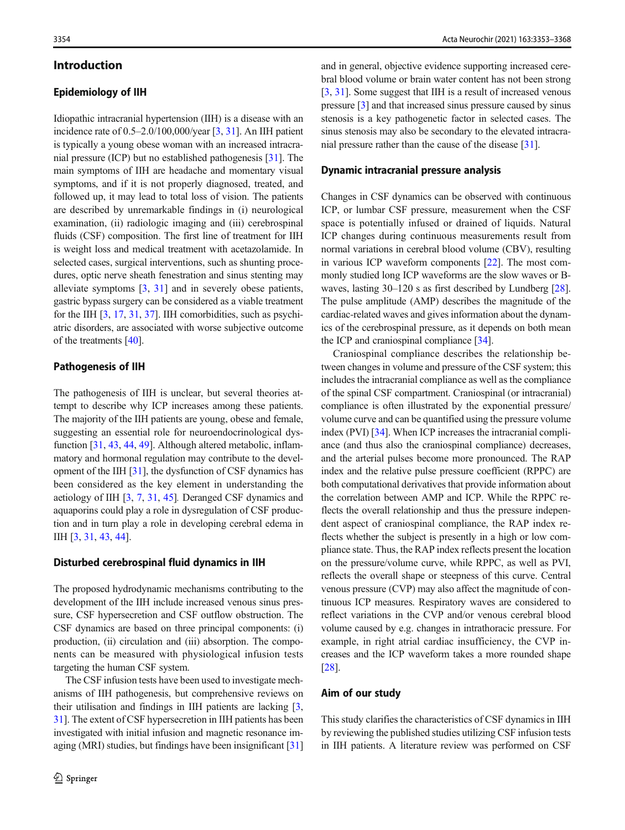# Introduction

# Epidemiology of IIH

Idiopathic intracranial hypertension (IIH) is a disease with an incidence rate of  $0.5-2.0/100,000/\text{year}$  [[3](#page-13-0), [31](#page-14-0)]. An IIH patient is typically a young obese woman with an increased intracranial pressure (ICP) but no established pathogenesis [[31\]](#page-14-0). The main symptoms of IIH are headache and momentary visual symptoms, and if it is not properly diagnosed, treated, and followed up, it may lead to total loss of vision. The patients are described by unremarkable findings in (i) neurological examination, (ii) radiologic imaging and (iii) cerebrospinal fluids (CSF) composition. The first line of treatment for IIH is weight loss and medical treatment with acetazolamide. In selected cases, surgical interventions, such as shunting procedures, optic nerve sheath fenestration and sinus stenting may alleviate symptoms [[3,](#page-13-0) [31\]](#page-14-0) and in severely obese patients, gastric bypass surgery can be considered as a viable treatment for the IIH [\[3](#page-13-0), [17,](#page-14-0) [31,](#page-14-0) [37\]](#page-14-0). IIH comorbidities, such as psychiatric disorders, are associated with worse subjective outcome of the treatments [\[40\]](#page-14-0).

### Pathogenesis of IIH

The pathogenesis of IIH is unclear, but several theories attempt to describe why ICP increases among these patients. The majority of the IIH patients are young, obese and female, suggesting an essential role for neuroendocrinological dysfunction [[31,](#page-14-0) [43](#page-14-0), [44,](#page-14-0) [49](#page-15-0)]. Although altered metabolic, inflammatory and hormonal regulation may contribute to the development of the IIH [\[31\]](#page-14-0), the dysfunction of CSF dynamics has been considered as the key element in understanding the aetiology of IIH [\[3](#page-13-0), [7](#page-13-0), [31](#page-14-0), [45\]](#page-14-0). Deranged CSF dynamics and aquaporins could play a role in dysregulation of CSF production and in turn play a role in developing cerebral edema in IIH [\[3](#page-13-0), [31,](#page-14-0) [43,](#page-14-0) [44\]](#page-14-0).

### Disturbed cerebrospinal fluid dynamics in IIH

The proposed hydrodynamic mechanisms contributing to the development of the IIH include increased venous sinus pressure, CSF hypersecretion and CSF outflow obstruction. The CSF dynamics are based on three principal components: (i) production, (ii) circulation and (iii) absorption. The components can be measured with physiological infusion tests targeting the human CSF system.

The CSF infusion tests have been used to investigate mechanisms of IIH pathogenesis, but comprehensive reviews on their utilisation and findings in IIH patients are lacking [[3,](#page-13-0) [31\]](#page-14-0). The extent of CSF hypersecretion in IIH patients has been investigated with initial infusion and magnetic resonance imaging (MRI) studies, but findings have been insignificant [\[31\]](#page-14-0) and in general, objective evidence supporting increased cerebral blood volume or brain water content has not been strong [\[3](#page-13-0), [31](#page-14-0)]. Some suggest that IIH is a result of increased venous pressure [[3\]](#page-13-0) and that increased sinus pressure caused by sinus stenosis is a key pathogenetic factor in selected cases. The sinus stenosis may also be secondary to the elevated intracranial pressure rather than the cause of the disease [[31](#page-14-0)].

### Dynamic intracranial pressure analysis

Changes in CSF dynamics can be observed with continuous ICP, or lumbar CSF pressure, measurement when the CSF space is potentially infused or drained of liquids. Natural ICP changes during continuous measurements result from normal variations in cerebral blood volume (CBV), resulting in various ICP waveform components [\[22](#page-14-0)]. The most commonly studied long ICP waveforms are the slow waves or Bwaves, lasting 30–120 s as first described by Lundberg [[28\]](#page-14-0). The pulse amplitude (AMP) describes the magnitude of the cardiac-related waves and gives information about the dynamics of the cerebrospinal pressure, as it depends on both mean the ICP and craniospinal compliance [\[34\]](#page-14-0).

Craniospinal compliance describes the relationship between changes in volume and pressure of the CSF system; this includes the intracranial compliance as well as the compliance of the spinal CSF compartment. Craniospinal (or intracranial) compliance is often illustrated by the exponential pressure/ volume curve and can be quantified using the pressure volume index (PVI) [\[34\]](#page-14-0). When ICP increases the intracranial compliance (and thus also the craniospinal compliance) decreases, and the arterial pulses become more pronounced. The RAP index and the relative pulse pressure coefficient (RPPC) are both computational derivatives that provide information about the correlation between AMP and ICP. While the RPPC reflects the overall relationship and thus the pressure independent aspect of craniospinal compliance, the RAP index reflects whether the subject is presently in a high or low compliance state. Thus, the RAP index reflects present the location on the pressure/volume curve, while RPPC, as well as PVI, reflects the overall shape or steepness of this curve. Central venous pressure (CVP) may also affect the magnitude of continuous ICP measures. Respiratory waves are considered to reflect variations in the CVP and/or venous cerebral blood volume caused by e.g. changes in intrathoracic pressure. For example, in right atrial cardiac insufficiency, the CVP increases and the ICP waveform takes a more rounded shape [\[28](#page-14-0)].

### Aim of our study

This study clarifies the characteristics of CSF dynamics in IIH by reviewing the published studies utilizing CSF infusion tests in IIH patients. A literature review was performed on CSF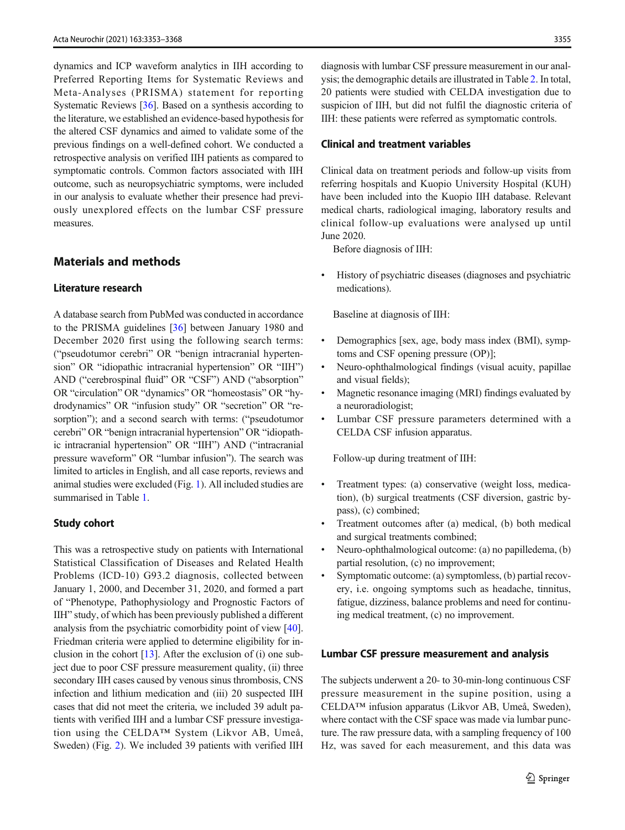dynamics and ICP waveform analytics in IIH according to Preferred Reporting Items for Systematic Reviews and Meta-Analyses (PRISMA) statement for reporting Systematic Reviews [\[36\]](#page-14-0). Based on a synthesis according to the literature, we established an evidence-based hypothesis for the altered CSF dynamics and aimed to validate some of the previous findings on a well-defined cohort. We conducted a retrospective analysis on verified IIH patients as compared to symptomatic controls. Common factors associated with IIH outcome, such as neuropsychiatric symptoms, were included in our analysis to evaluate whether their presence had previously unexplored effects on the lumbar CSF pressure measures.

# Materials and methods

### Literature research

A database search from PubMed was conducted in accordance to the PRISMA guidelines [[36\]](#page-14-0) between January 1980 and December 2020 first using the following search terms: ("pseudotumor cerebri" OR "benign intracranial hypertension" OR "idiopathic intracranial hypertension" OR "IIH") AND ("cerebrospinal fluid" OR "CSF") AND ("absorption" OR "circulation" OR "dynamics" OR "homeostasis" OR "hydrodynamics" OR "infusion study" OR "secretion" OR "resorption"); and a second search with terms: ("pseudotumor cerebri" OR "benign intracranial hypertension" OR "idiopathic intracranial hypertension" OR "IIH") AND ("intracranial pressure waveform" OR "lumbar infusion"). The search was limited to articles in English, and all case reports, reviews and animal studies were excluded (Fig. [1](#page-3-0)). All included studies are summarised in Table [1](#page-4-0).

### Study cohort

This was a retrospective study on patients with International Statistical Classification of Diseases and Related Health Problems (ICD-10) G93.2 diagnosis, collected between January 1, 2000, and December 31, 2020, and formed a part of "Phenotype, Pathophysiology and Prognostic Factors of IIH" study, of which has been previously published a different analysis from the psychiatric comorbidity point of view [[40\]](#page-14-0). Friedman criteria were applied to determine eligibility for inclusion in the cohort [\[13](#page-14-0)]. After the exclusion of (i) one subject due to poor CSF pressure measurement quality, (ii) three secondary IIH cases caused by venous sinus thrombosis, CNS infection and lithium medication and (iii) 20 suspected IIH cases that did not meet the criteria, we included 39 adult patients with verified IIH and a lumbar CSF pressure investigation using the CELDA™ System (Likvor AB, Umeå, Sweden) (Fig. [2\)](#page-7-0). We included 39 patients with verified IIH diagnosis with lumbar CSF pressure measurement in our analysis; the demographic details are illustrated in Table [2.](#page-6-0) In total, 20 patients were studied with CELDA investigation due to suspicion of IIH, but did not fulfil the diagnostic criteria of IIH: these patients were referred as symptomatic controls.

### Clinical and treatment variables

Clinical data on treatment periods and follow-up visits from referring hospitals and Kuopio University Hospital (KUH) have been included into the Kuopio IIH database. Relevant medical charts, radiological imaging, laboratory results and clinical follow-up evaluations were analysed up until June 2020.

Before diagnosis of IIH:

History of psychiatric diseases (diagnoses and psychiatric medications).

Baseline at diagnosis of IIH:

- Demographics [sex, age, body mass index (BMI), symptoms and CSF opening pressure (OP)];
- & Neuro-ophthalmological findings (visual acuity, papillae and visual fields);
- Magnetic resonance imaging (MRI) findings evaluated by a neuroradiologist;
- Lumbar CSF pressure parameters determined with a CELDA CSF infusion apparatus.

Follow-up during treatment of IIH:

- Treatment types: (a) conservative (weight loss, medication), (b) surgical treatments (CSF diversion, gastric bypass), (c) combined;
- Treatment outcomes after (a) medical, (b) both medical and surgical treatments combined;
- Neuro-ophthalmological outcome: (a) no papilledema, (b) partial resolution, (c) no improvement;
- Symptomatic outcome: (a) symptomless, (b) partial recovery, i.e. ongoing symptoms such as headache, tinnitus, fatigue, dizziness, balance problems and need for continuing medical treatment, (c) no improvement.

### Lumbar CSF pressure measurement and analysis

The subjects underwent a 20- to 30-min-long continuous CSF pressure measurement in the supine position, using a CELDA™ infusion apparatus (Likvor AB, Umeå, Sweden), where contact with the CSF space was made via lumbar puncture. The raw pressure data, with a sampling frequency of 100 Hz, was saved for each measurement, and this data was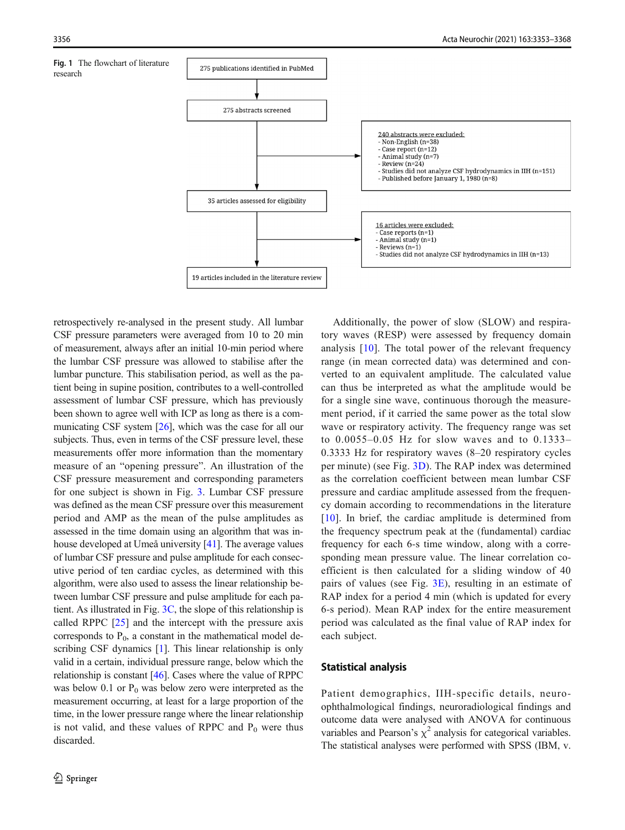<span id="page-3-0"></span>



retrospectively re-analysed in the present study. All lumbar CSF pressure parameters were averaged from 10 to 20 min of measurement, always after an initial 10-min period where the lumbar CSF pressure was allowed to stabilise after the lumbar puncture. This stabilisation period, as well as the patient being in supine position, contributes to a well-controlled assessment of lumbar CSF pressure, which has previously been shown to agree well with ICP as long as there is a communicating CSF system [\[26](#page-14-0)], which was the case for all our subjects. Thus, even in terms of the CSF pressure level, these measurements offer more information than the momentary measure of an "opening pressure". An illustration of the CSF pressure measurement and corresponding parameters for one subject is shown in Fig. [3.](#page-7-0) Lumbar CSF pressure was defined as the mean CSF pressure over this measurement period and AMP as the mean of the pulse amplitudes as assessed in the time domain using an algorithm that was inhouse developed at Umeå university [\[41\]](#page-14-0). The average values of lumbar CSF pressure and pulse amplitude for each consecutive period of ten cardiac cycles, as determined with this algorithm, were also used to assess the linear relationship between lumbar CSF pressure and pulse amplitude for each patient. As illustrated in Fig. [3C](#page-7-0), the slope of this relationship is called RPPC [[25\]](#page-14-0) and the intercept with the pressure axis corresponds to  $P_0$ , a constant in the mathematical model de-scribing CSF dynamics [\[1](#page-13-0)]. This linear relationship is only valid in a certain, individual pressure range, below which the relationship is constant [\[46](#page-14-0)]. Cases where the value of RPPC was below 0.1 or  $P_0$  was below zero were interpreted as the measurement occurring, at least for a large proportion of the time, in the lower pressure range where the linear relationship is not valid, and these values of RPPC and  $P_0$  were thus discarded.

Additionally, the power of slow (SLOW) and respiratory waves (RESP) were assessed by frequency domain analysis [\[10](#page-13-0)]. The total power of the relevant frequency range (in mean corrected data) was determined and converted to an equivalent amplitude. The calculated value can thus be interpreted as what the amplitude would be for a single sine wave, continuous thorough the measurement period, if it carried the same power as the total slow wave or respiratory activity. The frequency range was set to 0.0055–0.05 Hz for slow waves and to 0.1333– 0.3333 Hz for respiratory waves (8–20 respiratory cycles per minute) (see Fig. [3D\)](#page-7-0). The RAP index was determined as the correlation coefficient between mean lumbar CSF pressure and cardiac amplitude assessed from the frequency domain according to recommendations in the literature [\[10\]](#page-13-0). In brief, the cardiac amplitude is determined from the frequency spectrum peak at the (fundamental) cardiac frequency for each 6-s time window, along with a corresponding mean pressure value. The linear correlation coefficient is then calculated for a sliding window of 40 pairs of values (see Fig. [3E\)](#page-7-0), resulting in an estimate of RAP index for a period 4 min (which is updated for every 6-s period). Mean RAP index for the entire measurement period was calculated as the final value of RAP index for each subject.

### Statistical analysis

Patient demographics, IIH-specific details, neuroophthalmological findings, neuroradiological findings and outcome data were analysed with ANOVA for continuous variables and Pearson's  $\chi^2$  analysis for categorical variables. The statistical analyses were performed with SPSS (IBM, v.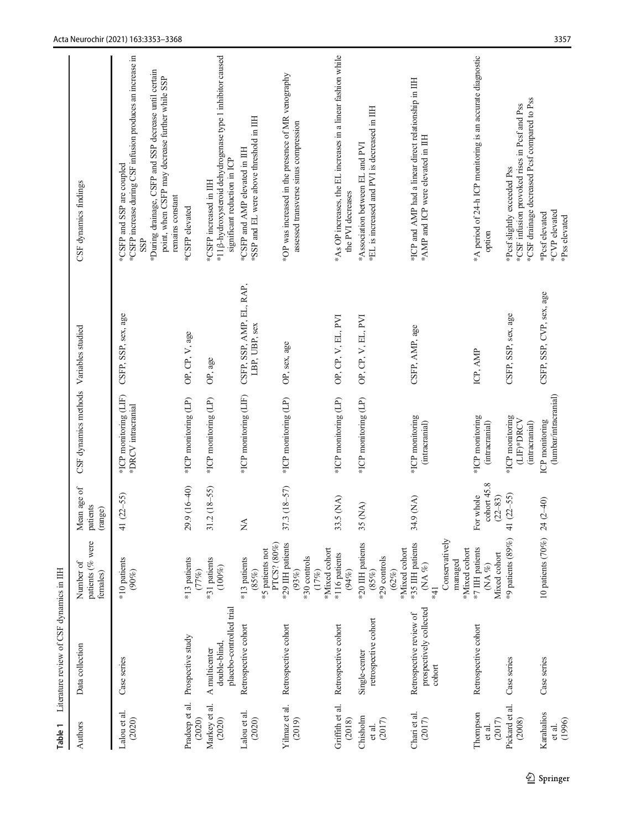<span id="page-4-0"></span>

| Table 1                        | Literature review of CSF dynamics in IIH                     |                                                                                     |                                         |                                                 |                                           |                                                                                                                                                                                                                                |
|--------------------------------|--------------------------------------------------------------|-------------------------------------------------------------------------------------|-----------------------------------------|-------------------------------------------------|-------------------------------------------|--------------------------------------------------------------------------------------------------------------------------------------------------------------------------------------------------------------------------------|
| Authors                        | Data collection                                              | patients (% were<br>Number of<br>females)                                           | Mean age of<br>patients<br>(range)      | CSF dynamics methods Variables studied          |                                           | CSF dynamics findings                                                                                                                                                                                                          |
| Lalou et al.<br>(2020)         | Case series                                                  | *10 patients<br>$(90\%)$                                                            | $(22 - 55)$<br>$\frac{4}{1}$            | *ICP monitoring (LIF)<br>*DRCV intracranial     | CSFP, SSP, sex, age                       | *CSFP increase during CSF infusion produces an increase in<br>*During drainage, CSFP and SSP decrease until certain<br>point, when CSFP may decrease further while SSP<br>*CSFP and SSP are coupled<br>remains constant<br>SSP |
| Pradeep et al.<br>(2020)       | Prospective study                                            | *13 patients<br>(77%)                                                               | $(0 + 40)$<br>29                        | *ICP monitoring (LP)                            | OP, CP, V, age                            | *CSFP elevated                                                                                                                                                                                                                 |
| Markey et al.<br>(2020)        | placebo-controlled trial<br>double-blind,<br>A multicenter   | *31 patients<br>$(100\%)$                                                           | $.2(18-55)$<br>$\overline{31}$          | *ICP monitoring (LP)                            | OP, age                                   | *11ß-hydroxysteroid dehydrogenase type 1 inhibitor caused<br>significant reduction in ICP<br>*CSFP increased in IIH                                                                                                            |
| Lalou et al.<br>(2020)         | Retrospective cohort                                         | PTCS? (80%)<br>*5 patients not<br>*13 patients<br>(85%)                             | $\lesssim$                              | *ICP monitoring (LIF)                           | CSFP, SSP, AMP, EL, RAP,<br>LBP, UBP, sex | *SSP and EL were above threshold in IIH<br>*CSFP and AMP elevated in IIH                                                                                                                                                       |
| Yilmaz et al.<br>(2019)        | Retrospective cohort                                         | *29 IIH patients<br>*Mixed cohort<br>*30 controls<br>(17%)<br>(93%)                 | $.3(18-57)$<br>37                       | *ICP monitoring (LP)                            | OP, sex, age                              | *OP was increased in the presence of MR venography<br>assessed transverse sinus compression                                                                                                                                    |
| Griffith et al.<br>(2018)      | Retrospective cohort                                         | *116 patients<br>(94%)                                                              | (AA)<br>33                              | *ICP monitoring (LP)                            | OP, CP, V, EL, PVI                        | *As OP increases, the EL increases in a linear fashion while<br>the PVI decreases                                                                                                                                              |
| Chisholm<br>(2017)<br>et al.   | retrospective cohort<br>Single-center                        | *20 IIH patients<br>*Mixed cohort<br>*29 controls<br>(62%)<br>$(85\%)$              | $(\mathbb{N}\mathbb{A})$<br>35          | *ICP monitoring (LP)                            | OP, CP, V, EL, PVI                        | *EL is increased and PVI is decreased in IIH<br>*Association between EL and PVI                                                                                                                                                |
| Chari et al.<br>(2017)         | prospectively collected<br>Retrospective review of<br>cohort | Conservatively<br>*35 IIH patients<br>*Mixed cohort<br>managed<br>(NA $\%$<br>$*41$ | (NA)<br>34                              | *ICP monitoring<br>(intracranial)               | CSFP, AMP, age                            | *ICP and AMP had a linear direct relationship in IIH<br>*AMP and ICP were elevated in IIH                                                                                                                                      |
| Thompson<br>(2017)<br>et al.   | Retrospective cohort                                         | *7 IIH patients<br>Mixed cohort<br>(NA $\%$                                         | cohort 45.8<br>For whole<br>$(22 - 83)$ | *ICP monitoring<br>(intracranial)               | ICP, AMP                                  | *A period of 24-h ICP monitoring is an accurate diagnostic<br>option                                                                                                                                                           |
| Pickard et al.<br>(2008)       | Case series                                                  | *9 patients (89%) 41                                                                | $(22 - 55)$                             | *ICP monitoring<br>(LIF)*DRCV<br>(intracranial) | CSFP, SSP, sex, age                       | *CSF drainage decreased Pcsf compared to Pss<br>*CSF infusion provoked rises in Pcsf and Pss<br>*Pcsf slightly exceeded Pss                                                                                                    |
| Karahalios<br>(1996)<br>et al. | Case series                                                  | 10 patients (70%) 24                                                                | $(2 - 40)$                              | (lumbar/intracranial)<br>ICP monitoring         | CSFP, SSP, CVP, sex, age                  | *CVP elevated<br>*Pcsf elevated<br>*Pss elevated                                                                                                                                                                               |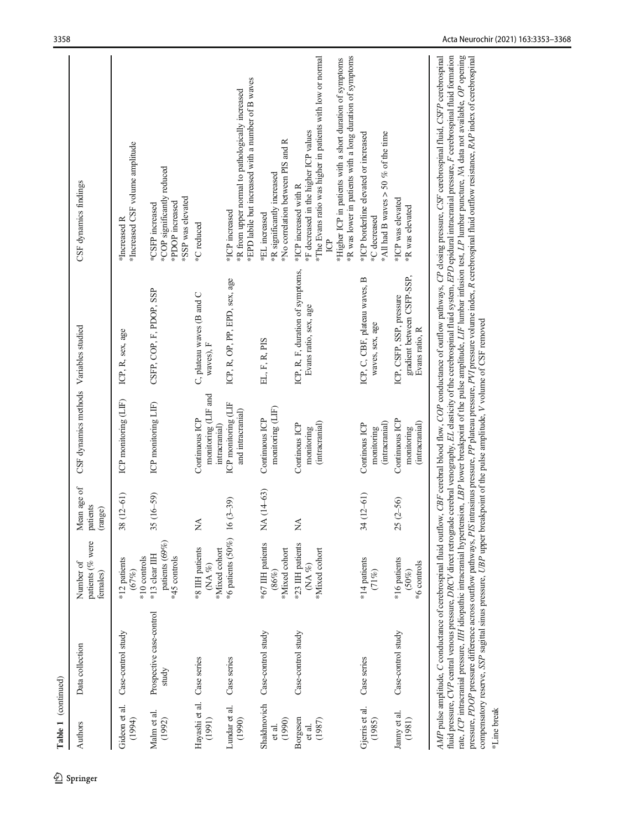| Table 1 (continued)          |                                                                                                                        |                                                 |                                    |                                                        |                                                                          |                                                                                                                                                                                                                                                                                                                                                                                                                                                                                                                                                                                                                                                                                                                                                                                                                                                                 |
|------------------------------|------------------------------------------------------------------------------------------------------------------------|-------------------------------------------------|------------------------------------|--------------------------------------------------------|--------------------------------------------------------------------------|-----------------------------------------------------------------------------------------------------------------------------------------------------------------------------------------------------------------------------------------------------------------------------------------------------------------------------------------------------------------------------------------------------------------------------------------------------------------------------------------------------------------------------------------------------------------------------------------------------------------------------------------------------------------------------------------------------------------------------------------------------------------------------------------------------------------------------------------------------------------|
| Authors                      | Data collection                                                                                                        | patients (% were<br>Number of<br>females)       | Mean age of<br>patients<br>(range) | CSF dynamics methods Variables studied                 |                                                                          | CSF dynamics findings                                                                                                                                                                                                                                                                                                                                                                                                                                                                                                                                                                                                                                                                                                                                                                                                                                           |
| Gideon et al.<br>(1994)      | Case-control study                                                                                                     | *10 controls<br>*12 patients<br>(67%)           | $38(12 - 61)$                      | ICP monitoring (LIF)                                   | ICP, R, sex, age                                                         | *Increased CSF volume amplitude<br>*Increased R                                                                                                                                                                                                                                                                                                                                                                                                                                                                                                                                                                                                                                                                                                                                                                                                                 |
| Malm et al.<br>(1992)        | Prospective case-control<br>study                                                                                      | patients (69%)<br>*13 clear IIH<br>*45 controls | $(16 - 59)$<br>35                  | ICP monitoring LIF)                                    | CSFP, COP, F, PDOP, SSP                                                  | *COP significantly reduced<br>*SSP was elevated<br>*PDOP increased<br>*CSFP increased                                                                                                                                                                                                                                                                                                                                                                                                                                                                                                                                                                                                                                                                                                                                                                           |
| (1991)                       | Hayashi et al. Case series                                                                                             | *8 IIH patients<br>*Mixed cohort<br>(NA $\%$    | Ź                                  | monitoring (LIF and<br>Continuous ICP<br>intracranial) | C, plateau waves (B and C<br>$\text{waves}$ ), $\text{F}$                | *C reduced                                                                                                                                                                                                                                                                                                                                                                                                                                                                                                                                                                                                                                                                                                                                                                                                                                                      |
| Lundar et al.<br>(1990)      | Case series                                                                                                            | *6 patients (50%) 16 (3-39)                     |                                    | ICP monitoring (LIF<br>and intracranial)               | ICP, R, OP, PP, EPD, sex, age                                            | *EPD labile but increased with a number of B waves<br>*R from upper normal to pathologically increased<br>*ICP increased                                                                                                                                                                                                                                                                                                                                                                                                                                                                                                                                                                                                                                                                                                                                        |
| (1990)<br>et al.             | Shakhnovich Case-control study                                                                                         | *67 IIH patients<br>*Mixed cohort<br>(86%)      | NA (14-63)                         | monitoring (LIF)<br>Continuous ICP                     | EL, F, R, PIS                                                            | *No correlation between PIS and R<br>*R significantly increased<br>*EL increased                                                                                                                                                                                                                                                                                                                                                                                                                                                                                                                                                                                                                                                                                                                                                                                |
| Borgesen<br>(1987)<br>et al. | Case-control study                                                                                                     | *23 IIH patients<br>*Mixed cohort<br>$NA$ %     | Ź                                  | (intracranial)<br>Continous ICP<br>monitoring          | ICP, R, F, duration of symptoms,<br>Evans ratio, sex, age                | *The Evans ratio was higher in patients with low or normal<br>*R was lower in patients with a long duration of symptoms<br>*Higher ICP in patients with a short duration of symptoms<br>*F decreased in the higher ICP values<br>*ICP increased with R<br>ĝ                                                                                                                                                                                                                                                                                                                                                                                                                                                                                                                                                                                                     |
| Gjerris et al.<br>(1985)     | Case series                                                                                                            | *14 patients<br>(71%)                           | $(12 - 61)$<br>34                  | (intracranial)<br>Continous ICP<br>monitoring          | ICP, C, CBF, plateau waves, B<br>waves, sex, age                         | *ICP borderline elevated or increased<br>*All had B waves > 50 % of the time<br>*C decreased                                                                                                                                                                                                                                                                                                                                                                                                                                                                                                                                                                                                                                                                                                                                                                    |
| Janny et al.<br>(1981)       | Case-control study                                                                                                     | *16 patients<br>*6 controls<br>$(50\%)$         | $(2 - 56)$<br>25                   | Continuous ICP<br>(intracranial)<br>monitoring         | gradient between CSFP-SSP,<br>ICP, CSFP, SSP, pressure<br>Evans ratio, R | *ICP was elevated<br>*R was elevated                                                                                                                                                                                                                                                                                                                                                                                                                                                                                                                                                                                                                                                                                                                                                                                                                            |
|                              | compensatory reserve, SSP sagital sinus pressure, UBP upper breakpoint of the pulse amplitude, V volume of CSF removed |                                                 |                                    |                                                        |                                                                          | fluid pressure, CVP central venous pressure, DRCV direct retrograde cerebral venography, EL elasticity of the cerebrospinal fluid system, EPD epidural intracranial pressure, F cerebrospinal fluid formation<br>rate, ICP intracranial pressure, IIH idiopathic intracranial hypertension, LBP lower breakpoint of the pulse amplitude, LIF lumbar infusion test, LP lumbar puncture, NA data not available, OP opening<br>AMP pulse amplitude, C conductance of cerebrospinal fluid outflow, CBF cerebral blood flow, COP conductance of outflow pathways, CP closing pressure, CSF cerebrospinal fluid, CSFP cerebrospinal<br>pressure, <i>PDOP</i> pressure difference across outflow pathways, <i>PIS</i> intrasinus pressure, <i>PP</i> plateau pressure, PVI pressure volume index, R cerebrospinal fluid outflow resistance, RAP index of cerebrospinal |

 $\ddot{\phantom{a}}$ 

\*Line break

\*Line break

J.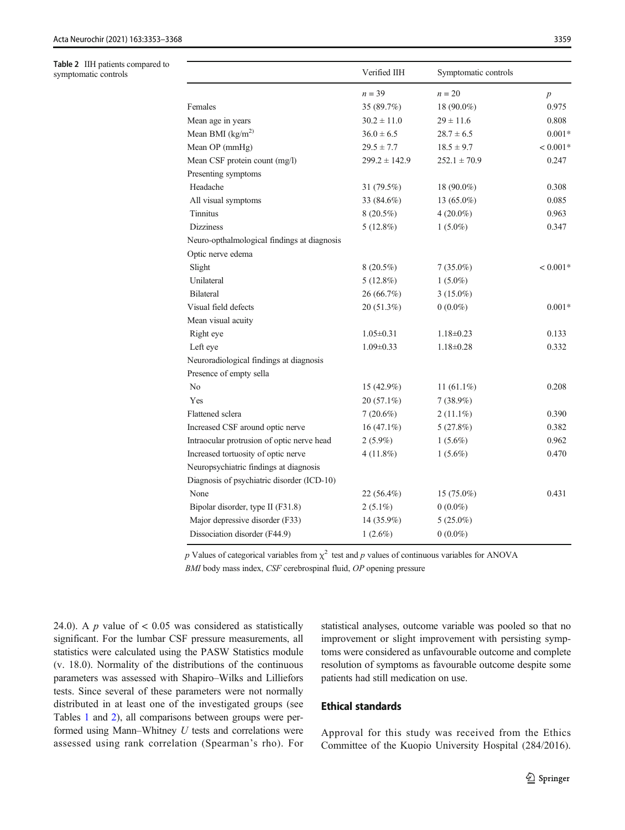<span id="page-6-0"></span>Table 2 IIH patients compared to symptomatic controls

|                                             | Verified IIH      | Symptomatic controls |                  |
|---------------------------------------------|-------------------|----------------------|------------------|
|                                             | $n = 39$          | $n = 20$             | $\boldsymbol{p}$ |
| Females                                     | 35 (89.7%)        | 18 (90.0%)           | 0.975            |
| Mean age in years                           | $30.2 \pm 11.0$   | $29 \pm 11.6$        | 0.808            |
| Mean BMI $(kg/m2)$                          | $36.0 \pm 6.5$    | $28.7 \pm 6.5$       | $0.001*$         |
| Mean OP (mmHg)                              | $29.5 \pm 7.7$    | $18.5 \pm 9.7$       | $< 0.001*$       |
| Mean CSF protein count (mg/l)               | $299.2 \pm 142.9$ | $252.1 \pm 70.9$     | 0.247            |
| Presenting symptoms                         |                   |                      |                  |
| Headache                                    | 31 (79.5%)        | 18 (90.0%)           | 0.308            |
| All visual symptoms                         | 33 (84.6%)        | 13 (65.0%)           | 0.085            |
| Tinnitus                                    | $8(20.5\%)$       | $4(20.0\%)$          | 0.963            |
| <b>Dizziness</b>                            | $5(12.8\%)$       | $1(5.0\%)$           | 0.347            |
| Neuro-opthalmological findings at diagnosis |                   |                      |                  |
| Optic nerve edema                           |                   |                      |                  |
| Slight                                      | $8(20.5\%)$       | $7(35.0\%)$          | $< 0.001*$       |
| Unilateral                                  | $5(12.8\%)$       | $1(5.0\%)$           |                  |
| <b>Bilateral</b>                            | 26 (66.7%)        | $3(15.0\%)$          |                  |
| Visual field defects                        | 20 (51.3%)        | $0(0.0\%)$           | $0.001*$         |
| Mean visual acuity                          |                   |                      |                  |
| Right eye                                   | $1.05 \pm 0.31$   | $1.18 \pm 0.23$      | 0.133            |
| Left eye                                    | $1.09 \pm 0.33$   | $1.18 \pm 0.28$      | 0.332            |
| Neuroradiological findings at diagnosis     |                   |                      |                  |
| Presence of empty sella                     |                   |                      |                  |
| N <sub>0</sub>                              | $15(42.9\%)$      | 11 $(61.1\%)$        | 0.208            |
| Yes                                         | 20 (57.1%)        | $7(38.9\%)$          |                  |
| Flattened sclera                            | $7(20.6\%)$       | $2(11.1\%)$          | 0.390            |
| Increased CSF around optic nerve            | $16(47.1\%)$      | 5(27.8%)             | 0.382            |
| Intraocular protrusion of optic nerve head  | $2(5.9\%)$        | $1(5.6\%)$           | 0.962            |
| Increased tortuosity of optic nerve         | $4(11.8\%)$       | $1(5.6\%)$           | 0.470            |
| Neuropsychiatric findings at diagnosis      |                   |                      |                  |
| Diagnosis of psychiatric disorder (ICD-10)  |                   |                      |                  |
| None                                        | 22 (56.4%)        | 15 (75.0%)           | 0.431            |
| Bipolar disorder, type II (F31.8)           | $2(5.1\%)$        | $0(0.0\%)$           |                  |
| Major depressive disorder (F33)             | 14 (35.9%)        | $5(25.0\%)$          |                  |
| Dissociation disorder (F44.9)               | 1(2.6%)           | $0(0.0\%)$           |                  |

p Values of categorical variables from  $\chi^2$  test and p values of continuous variables for ANOVA BMI body mass index, CSF cerebrospinal fluid, OP opening pressure

24.0). A  $p$  value of < 0.05 was considered as statistically significant. For the lumbar CSF pressure measurements, all statistics were calculated using the PASW Statistics module (v. 18.0). Normality of the distributions of the continuous parameters was assessed with Shapiro–Wilks and Lilliefors tests. Since several of these parameters were not normally distributed in at least one of the investigated groups (see Tables [1](#page-4-0) and 2), all comparisons between groups were performed using Mann–Whitney U tests and correlations were assessed using rank correlation (Spearman's rho). For statistical analyses, outcome variable was pooled so that no improvement or slight improvement with persisting symptoms were considered as unfavourable outcome and complete resolution of symptoms as favourable outcome despite some patients had still medication on use.

# Ethical standards

Approval for this study was received from the Ethics Committee of the Kuopio University Hospital (284/2016).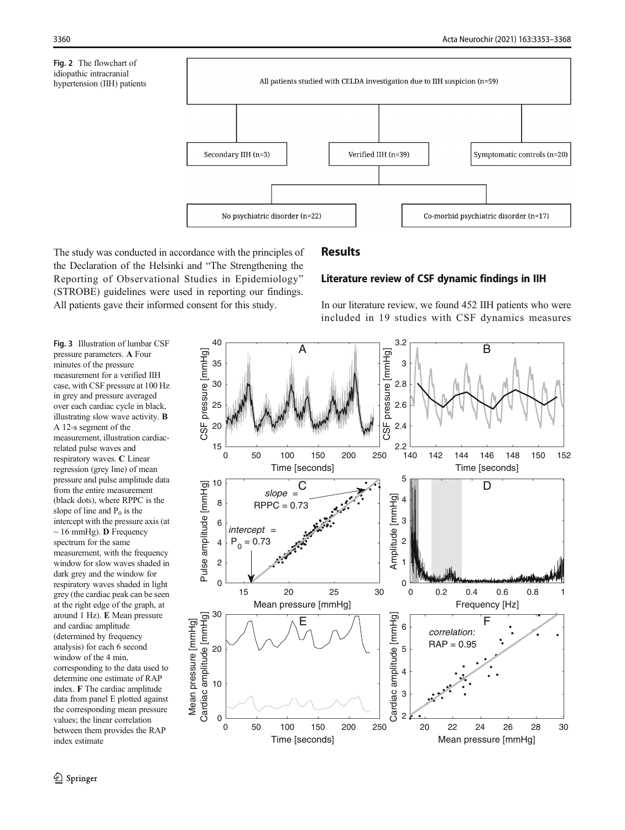<span id="page-7-0"></span>



The study was conducted in accordance with the principles of the Declaration of the Helsinki and "The Strengthening the Reporting of Observational Studies in Epidemiology" (STROBE) guidelines were used in reporting our findings. All patients gave their informed consent for this study.

15

CSF pressure [mmHg]

CSF pressure [mmHg]

40

# Results

# Literature review of CSF dynamic findings in IIH

 $2.2 - 140$ 

2.4 2.6 2.8 3

CSF pressure [mmHg]

CSF pressure [mmHg]

3.2

In our literature review, we found 452 IIH patients who were included in 19 studies with CSF dynamics measures

140 142 144 146 148 150 152

D

F

B

Fig. 3 Illustration of lumbar CSF pressure parameters. A Four minutes of the pressure measurement for a verified IIH case, with CSF pressure at 100 Hz in grey and pressure averaged over each cardiac cycle in black, illustrating slow wave activity. B A 12-s segment of the measurement, illustration cardiacrelated pulse waves and respiratory waves. C Linear regression (grey line) of mean pressure and pulse amplitude data from the entire measurement (black dots), where RPPC is the slope of line and  $P_0$  is the intercept with the pressure axis (at  $\sim$  16 mmHg). **D** Frequency spectrum for the same measurement, with the frequency window for slow waves shaded in dark grey and the window for respiratory waves shaded in light grey (the cardiac peak can be seen at the right edge of the graph, at around 1 Hz). E Mean pressure and cardiac amplitude (determined by frequency analysis) for each 6 second window of the 4 min, corresponding to the data used to determine one estimate of RAP index. F The cardiac amplitude data from panel E plotted against the corresponding mean pressure values; the linear correlation between them provides the RAP index estimate

*A* Springer



0 50 100 150 200 250

A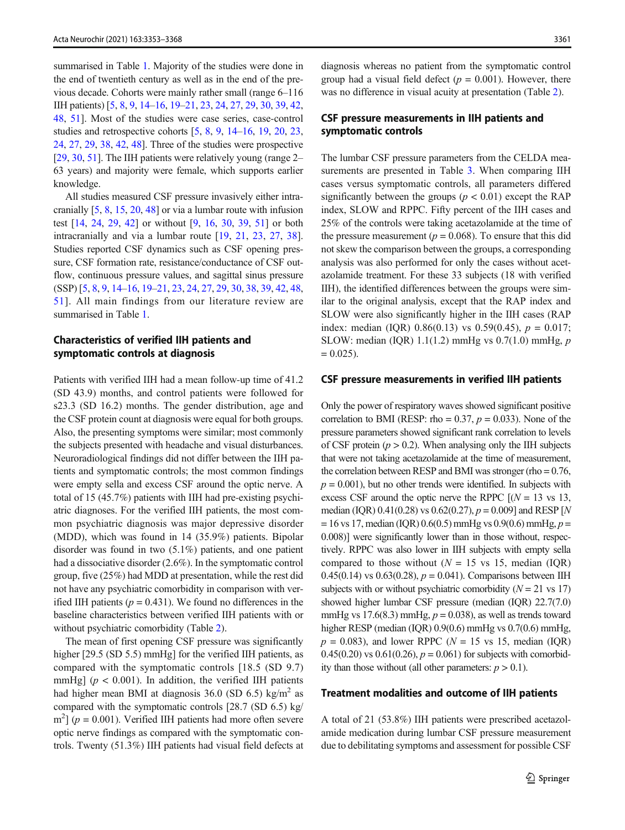summarised in Table [1.](#page-4-0) Majority of the studies were done in the end of twentieth century as well as in the end of the previous decade. Cohorts were mainly rather small (range 6–116 IIH patients) [[5,](#page-13-0) [8](#page-13-0), [9](#page-13-0), [14](#page-14-0)–[16](#page-14-0), [19](#page-14-0)–[21](#page-14-0), [23,](#page-14-0) [24](#page-14-0), [27](#page-14-0), [29,](#page-14-0) [30,](#page-14-0) [39](#page-14-0), [42,](#page-14-0) [48,](#page-15-0) [51](#page-15-0)]. Most of the studies were case series, case-control studies and retrospective cohorts [\[5](#page-13-0), [8,](#page-13-0) [9,](#page-13-0) [14](#page-14-0)–[16,](#page-14-0) [19](#page-14-0), [20](#page-14-0), [23,](#page-14-0) [24,](#page-14-0) [27,](#page-14-0) [29,](#page-14-0) [38](#page-14-0), [42](#page-14-0), [48](#page-15-0)]. Three of the studies were prospective [\[29,](#page-14-0) [30](#page-14-0), [51\]](#page-15-0). The IIH patients were relatively young (range 2– 63 years) and majority were female, which supports earlier knowledge.

All studies measured CSF pressure invasively either intracranially [\[5,](#page-13-0) [8,](#page-13-0) [15](#page-14-0), [20,](#page-14-0) [48\]](#page-15-0) or via a lumbar route with infusion test [\[14,](#page-14-0) [24,](#page-14-0) [29,](#page-14-0) [42\]](#page-14-0) or without [\[9,](#page-13-0) [16,](#page-14-0) [30,](#page-14-0) [39,](#page-14-0) [51\]](#page-15-0) or both intracranially and via a lumbar route [\[19](#page-14-0), [21,](#page-14-0) [23,](#page-14-0) [27](#page-14-0), [38](#page-14-0)]. Studies reported CSF dynamics such as CSF opening pressure, CSF formation rate, resistance/conductance of CSF outflow, continuous pressure values, and sagittal sinus pressure (SSP) [[5](#page-13-0), [8,](#page-13-0) [9,](#page-13-0) [14](#page-14-0)–[16,](#page-14-0) [19](#page-14-0)–[21,](#page-14-0) [23,](#page-14-0) [24,](#page-14-0) [27,](#page-14-0) [29](#page-14-0), [30](#page-14-0), [38](#page-14-0), [39](#page-14-0), [42,](#page-14-0) [48,](#page-15-0) [51\]](#page-15-0). All main findings from our literature review are summarised in Table [1](#page-4-0).

# Characteristics of verified IIH patients and symptomatic controls at diagnosis

Patients with verified IIH had a mean follow-up time of 41.2 (SD 43.9) months, and control patients were followed for s23.3 (SD 16.2) months. The gender distribution, age and the CSF protein count at diagnosis were equal for both groups. Also, the presenting symptoms were similar; most commonly the subjects presented with headache and visual disturbances. Neuroradiological findings did not differ between the IIH patients and symptomatic controls; the most common findings were empty sella and excess CSF around the optic nerve. A total of 15 (45.7%) patients with IIH had pre-existing psychiatric diagnoses. For the verified IIH patients, the most common psychiatric diagnosis was major depressive disorder (MDD), which was found in 14 (35.9%) patients. Bipolar disorder was found in two (5.1%) patients, and one patient had a dissociative disorder (2.6%). In the symptomatic control group, five (25%) had MDD at presentation, while the rest did not have any psychiatric comorbidity in comparison with verified IIH patients ( $p = 0.431$ ). We found no differences in the baseline characteristics between verified IIH patients with or without psychiatric comorbidity (Table [2\)](#page-6-0).

The mean of first opening CSF pressure was significantly higher [29.5 (SD 5.5) mmHg] for the verified IIH patients, as compared with the symptomatic controls [18.5 (SD 9.7) mmHg] ( $p < 0.001$ ). In addition, the verified IIH patients had higher mean BMI at diagnosis 36.0 (SD 6.5) kg/m<sup>2</sup> as compared with the symptomatic controls [28.7 (SD 6.5) kg/  $[m<sup>2</sup>]$  ( $p = 0.001$ ). Verified IIH patients had more often severe optic nerve findings as compared with the symptomatic controls. Twenty (51.3%) IIH patients had visual field defects at diagnosis whereas no patient from the symptomatic control group had a visual field defect ( $p = 0.001$ ). However, there was no difference in visual acuity at presentation (Table [2](#page-6-0)).

# CSF pressure measurements in IIH patients and symptomatic controls

The lumbar CSF pressure parameters from the CELDA mea-surements are presented in Table [3](#page-9-0). When comparing IIH cases versus symptomatic controls, all parameters differed significantly between the groups ( $p < 0.01$ ) except the RAP index, SLOW and RPPC. Fifty percent of the IIH cases and 25% of the controls were taking acetazolamide at the time of the pressure measurement ( $p = 0.068$ ). To ensure that this did not skew the comparison between the groups, a corresponding analysis was also performed for only the cases without acetazolamide treatment. For these 33 subjects (18 with verified IIH), the identified differences between the groups were similar to the original analysis, except that the RAP index and SLOW were also significantly higher in the IIH cases (RAP index: median (IQR)  $0.86(0.13)$  vs  $0.59(0.45)$ ,  $p = 0.017$ ; SLOW: median (IQR) 1.1(1.2) mmHg vs  $0.7(1.0)$  mmHg, p  $= 0.025$ ).

### CSF pressure measurements in verified IIH patients

Only the power of respiratory waves showed significant positive correlation to BMI (RESP: rho =  $0.37$ ,  $p = 0.033$ ). None of the pressure parameters showed significant rank correlation to levels of CSF protein ( $p > 0.2$ ). When analysing only the IIH subjects that were not taking acetazolamide at the time of measurement, the correlation between RESP and BMI was stronger (rho  $= 0.76$ ,  $p = 0.001$ , but no other trends were identified. In subjects with excess CSF around the optic nerve the RPPC  $(N = 13 \text{ vs } 13,$ median (IQR) 0.41(0.28) vs 0.62(0.27),  $p = 0.009$ ] and RESP [N  $= 16$  vs 17, median (IQR) 0.6(0.5) mmHg vs 0.9(0.6) mmHg,  $p =$ 0.008)] were significantly lower than in those without, respectively. RPPC was also lower in IIH subjects with empty sella compared to those without  $(N = 15$  vs 15, median (IQR) 0.45(0.14) vs 0.63(0.28),  $p = 0.041$ ). Comparisons between IIH subjects with or without psychiatric comorbidity  $(N = 21 \text{ vs } 17)$ showed higher lumbar CSF pressure (median (IQR) 22.7(7.0) mmHg vs 17.6(8.3) mmHg,  $p = 0.038$ ), as well as trends toward higher RESP (median (IQR) 0.9(0.6) mmHg vs 0.7(0.6) mmHg,  $p = 0.083$ ), and lower RPPC ( $N = 15$  vs 15, median (IQR) 0.45(0.20) vs 0.61(0.26),  $p = 0.061$  for subjects with comorbidity than those without (all other parameters:  $p > 0.1$ ).

#### Treatment modalities and outcome of IIH patients

A total of 21 (53.8%) IIH patients were prescribed acetazolamide medication during lumbar CSF pressure measurement due to debilitating symptoms and assessment for possible CSF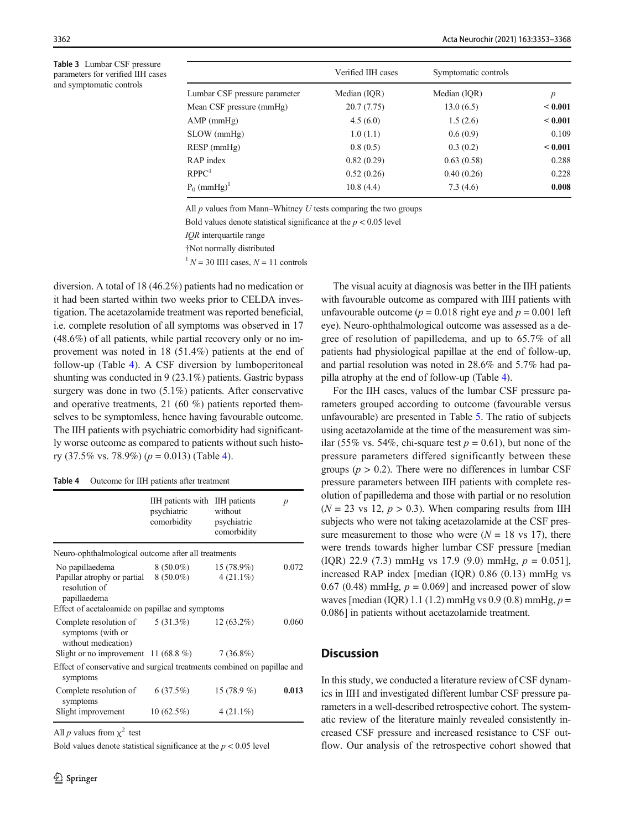<span id="page-9-0"></span>Table 3 Lumbar CSF pressure parameters for verified IIH cases and symptomatic controls

|                               | Verified IIH cases | Symptomatic controls |                  |
|-------------------------------|--------------------|----------------------|------------------|
| Lumbar CSF pressure parameter | Median (IQR)       | Median (IQR)         | $\boldsymbol{p}$ |
| Mean CSF pressure (mmHg)      | 20.7(7.75)         | 13.0(6.5)            | ${}< 0.001$      |
| AMP(mmHg)                     | 4.5(6.0)           | 1.5(2.6)             | ${}< 0.001$      |
| $SLOW$ (mmHg)                 | 1.0(1.1)           | 0.6(0.9)             | 0.109            |
| $RESP$ (mmHg)                 | 0.8(0.5)           | 0.3(0.2)             | ${}< 0.001$      |
| RAP index                     | 0.82(0.29)         | 0.63(0.58)           | 0.288            |
| RPPC <sup>1</sup>             | 0.52(0.26)         | 0.40(0.26)           | 0.228            |
| $P_0$ (mmHg) <sup>1</sup>     | 10.8(4.4)          | 7.3(4.6)             | 0.008            |

All  $p$  values from Mann–Whitney  $U$  tests comparing the two groups

Bold values denote statistical significance at the  $p < 0.05$  level

IQR interquartile range

†Not normally distributed

 $1<sup>1</sup>N = 30$  IIH cases,  $N = 11$  controls

diversion. A total of 18 (46.2%) patients had no medication or it had been started within two weeks prior to CELDA investigation. The acetazolamide treatment was reported beneficial, i.e. complete resolution of all symptoms was observed in 17 (48.6%) of all patients, while partial recovery only or no improvement was noted in 18 (51.4%) patients at the end of follow-up (Table 4). A CSF diversion by lumboperitoneal shunting was conducted in 9 (23.1%) patients. Gastric bypass surgery was done in two (5.1%) patients. After conservative and operative treatments, 21 (60 %) patients reported themselves to be symptomless, hence having favourable outcome. The IIH patients with psychiatric comorbidity had significantly worse outcome as compared to patients without such history (37.5% vs. 78.9%) ( $p = 0.013$ ) (Table 4).

Table 4 Outcome for IIH patients after treatment

|                                                                                             | IIH patients with IIH patients<br>psychiatric<br>comorbidity | without<br>psychiatric<br>comorbidity | $\boldsymbol{p}$ |
|---------------------------------------------------------------------------------------------|--------------------------------------------------------------|---------------------------------------|------------------|
| Neuro-ophthalmological outcome after all treatments                                         |                                                              |                                       |                  |
| No papillaedema                                                                             | $8(50.0\%)$                                                  | 15 (78.9%)                            | 0.072            |
| Papillar atrophy or partial $8(50.0\%)$ $4(21.1\%)$<br>resolution of<br>papillaedema        |                                                              |                                       |                  |
| Effect of acetaloamide on papillae and symptoms                                             |                                                              |                                       |                  |
| Complete resolution of $5(31.3\%)$ $12(63.2\%)$<br>symptoms (with or<br>without medication) |                                                              |                                       | 0.060            |
| Slight or no improvement $11 (68.8 %)$ 7 (36.8%)                                            |                                                              |                                       |                  |
| Effect of conservative and surgical treatments combined on papillae and<br>symptoms         |                                                              |                                       |                  |
| Complete resolution of $6(37.5\%)$<br>symptoms                                              |                                                              | $15(78.9\%)$                          | 0.013            |
| Slight improvement                                                                          | $10(62.5\%)$                                                 | $4(21.1\%)$                           |                  |

All *p* values from  $\chi^2$  test

Bold values denote statistical significance at the  $p < 0.05$  level

The visual acuity at diagnosis was better in the IIH patients with favourable outcome as compared with IIH patients with unfavourable outcome ( $p = 0.018$  right eye and  $p = 0.001$  left eye). Neuro-ophthalmological outcome was assessed as a degree of resolution of papilledema, and up to 65.7% of all patients had physiological papillae at the end of follow-up, and partial resolution was noted in 28.6% and 5.7% had papilla atrophy at the end of follow-up (Table 4).

For the IIH cases, values of the lumbar CSF pressure parameters grouped according to outcome (favourable versus unfavourable) are presented in Table [5](#page-10-0). The ratio of subjects using acetazolamide at the time of the measurement was similar (55% vs. 54%, chi-square test  $p = 0.61$ ), but none of the pressure parameters differed significantly between these groups ( $p > 0.2$ ). There were no differences in lumbar CSF pressure parameters between IIH patients with complete resolution of papilledema and those with partial or no resolution  $(N = 23$  vs 12,  $p > 0.3$ ). When comparing results from IIH subjects who were not taking acetazolamide at the CSF pressure measurement to those who were  $(N = 18$  vs 17), there were trends towards higher lumbar CSF pressure [median (IQR) 22.9 (7.3) mmHg vs 17.9 (9.0) mmHg,  $p = 0.051$ ], increased RAP index [median (IQR) 0.86 (0.13) mmHg vs  $0.67$  (0.48) mmHg,  $p = 0.069$ ] and increased power of slow waves [median (IQR) 1.1 (1.2) mmHg vs 0.9 (0.8) mmHg,  $p =$ 0.086] in patients without acetazolamide treatment.

# **Discussion**

In this study, we conducted a literature review of CSF dynamics in IIH and investigated different lumbar CSF pressure parameters in a well-described retrospective cohort. The systematic review of the literature mainly revealed consistently increased CSF pressure and increased resistance to CSF outflow. Our analysis of the retrospective cohort showed that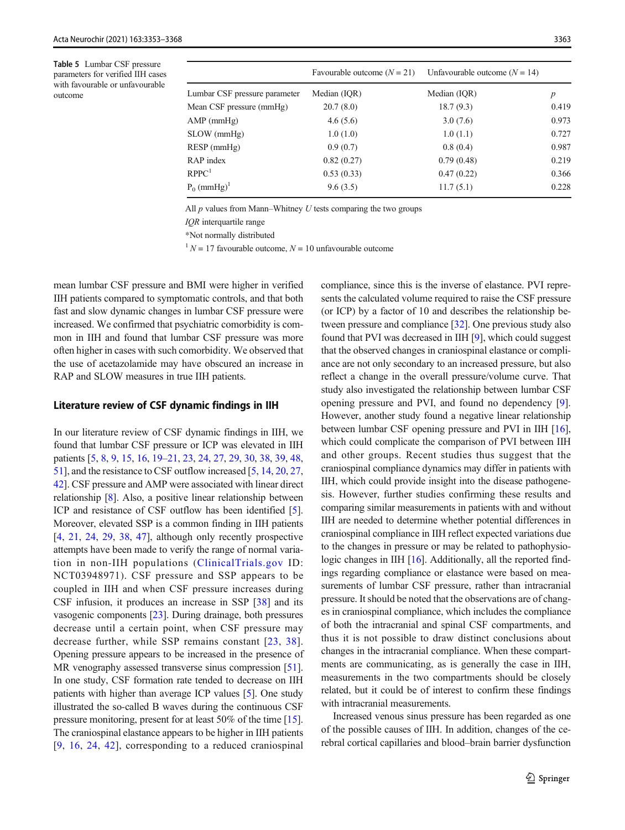<span id="page-10-0"></span>Table 5 Lumbar CSF pressure parameters for verified IIH cases with favourable or unfavourable outcome

|                               | Favourable outcome $(N = 21)$ | Unfavourable outcome $(N = 14)$ |                  |
|-------------------------------|-------------------------------|---------------------------------|------------------|
| Lumbar CSF pressure parameter | Median (IQR)                  | Median (IQR)                    | $\boldsymbol{p}$ |
| Mean CSF pressure (mmHg)      | 20.7(8.0)                     | 18.7(9.3)                       | 0.419            |
| AMP(mmHg)                     | 4.6(5.6)                      | 3.0(7.6)                        | 0.973            |
| SLOW (mmHg)                   | 1.0(1.0)                      | 1.0(1.1)                        | 0.727            |
| $RESP$ (mmHg)                 | 0.9(0.7)                      | 0.8(0.4)                        | 0.987            |
| RAP index                     | 0.82(0.27)                    | 0.79(0.48)                      | 0.219            |
| RPPC <sup>1</sup>             | 0.53(0.33)                    | 0.47(0.22)                      | 0.366            |
| $P_0$ (mmHg) <sup>1</sup>     | 9.6(3.5)                      | 11.7(5.1)                       | 0.228            |

All  $p$  values from Mann–Whitney  $U$  tests comparing the two groups

IQR interquartile range

\*Not normally distributed

 $1^N N = 17$  favourable outcome,  $N = 10$  unfavourable outcome

mean lumbar CSF pressure and BMI were higher in verified IIH patients compared to symptomatic controls, and that both fast and slow dynamic changes in lumbar CSF pressure were increased. We confirmed that psychiatric comorbidity is common in IIH and found that lumbar CSF pressure was more often higher in cases with such comorbidity. We observed that the use of acetazolamide may have obscured an increase in RAP and SLOW measures in true IIH patients.

#### Literature review of CSF dynamic findings in IIH

In our literature review of CSF dynamic findings in IIH, we found that lumbar CSF pressure or ICP was elevated in IIH patients [[5](#page-13-0), [8](#page-13-0), [9,](#page-13-0) [15,](#page-14-0) [16](#page-14-0), [19](#page-14-0)–[21,](#page-14-0) [23](#page-14-0), [24,](#page-14-0) [27](#page-14-0), [29](#page-14-0), [30,](#page-14-0) [38](#page-14-0), [39,](#page-14-0) [48,](#page-15-0) [51\]](#page-15-0), and the resistance to CSF outflow increased [[5](#page-13-0), [14](#page-14-0), [20,](#page-14-0) [27,](#page-14-0) [42\]](#page-14-0). CSF pressure and AMP were associated with linear direct relationship [\[8\]](#page-13-0). Also, a positive linear relationship between ICP and resistance of CSF outflow has been identified [[5\]](#page-13-0). Moreover, elevated SSP is a common finding in IIH patients [\[4](#page-13-0), [21](#page-14-0), [24](#page-14-0), [29,](#page-14-0) [38,](#page-14-0) [47\]](#page-14-0), although only recently prospective attempts have been made to verify the range of normal variation in non-IIH populations ([ClinicalTrials.gov](http://clinicaltrials.gov) ID: NCT03948971). CSF pressure and SSP appears to be coupled in IIH and when CSF pressure increases during CSF infusion, it produces an increase in SSP [[38\]](#page-14-0) and its vasogenic components [[23\]](#page-14-0). During drainage, both pressures decrease until a certain point, when CSF pressure may decrease further, while SSP remains constant [[23,](#page-14-0) [38](#page-14-0)]. Opening pressure appears to be increased in the presence of MR venography assessed transverse sinus compression [[51\]](#page-15-0). In one study, CSF formation rate tended to decrease on IIH patients with higher than average ICP values [[5\]](#page-13-0). One study illustrated the so-called B waves during the continuous CSF pressure monitoring, present for at least 50% of the time [[15\]](#page-14-0). The craniospinal elastance appears to be higher in IIH patients [\[9,](#page-13-0) [16](#page-14-0), [24](#page-14-0), [42\]](#page-14-0), corresponding to a reduced craniospinal

compliance, since this is the inverse of elastance. PVI represents the calculated volume required to raise the CSF pressure (or ICP) by a factor of 10 and describes the relationship between pressure and compliance [[32\]](#page-14-0). One previous study also found that PVI was decreased in IIH [\[9](#page-13-0)], which could suggest that the observed changes in craniospinal elastance or compliance are not only secondary to an increased pressure, but also reflect a change in the overall pressure/volume curve. That study also investigated the relationship between lumbar CSF opening pressure and PVI, and found no dependency [\[9\]](#page-13-0). However, another study found a negative linear relationship between lumbar CSF opening pressure and PVI in IIH [[16\]](#page-14-0), which could complicate the comparison of PVI between IIH and other groups. Recent studies thus suggest that the craniospinal compliance dynamics may differ in patients with IIH, which could provide insight into the disease pathogenesis. However, further studies confirming these results and comparing similar measurements in patients with and without IIH are needed to determine whether potential differences in craniospinal compliance in IIH reflect expected variations due to the changes in pressure or may be related to pathophysio-logic changes in IIH [[16](#page-14-0)]. Additionally, all the reported findings regarding compliance or elastance were based on measurements of lumbar CSF pressure, rather than intracranial pressure. It should be noted that the observations are of changes in craniospinal compliance, which includes the compliance of both the intracranial and spinal CSF compartments, and thus it is not possible to draw distinct conclusions about changes in the intracranial compliance. When these compartments are communicating, as is generally the case in IIH, measurements in the two compartments should be closely related, but it could be of interest to confirm these findings with intracranial measurements.

Increased venous sinus pressure has been regarded as one of the possible causes of IIH. In addition, changes of the cerebral cortical capillaries and blood–brain barrier dysfunction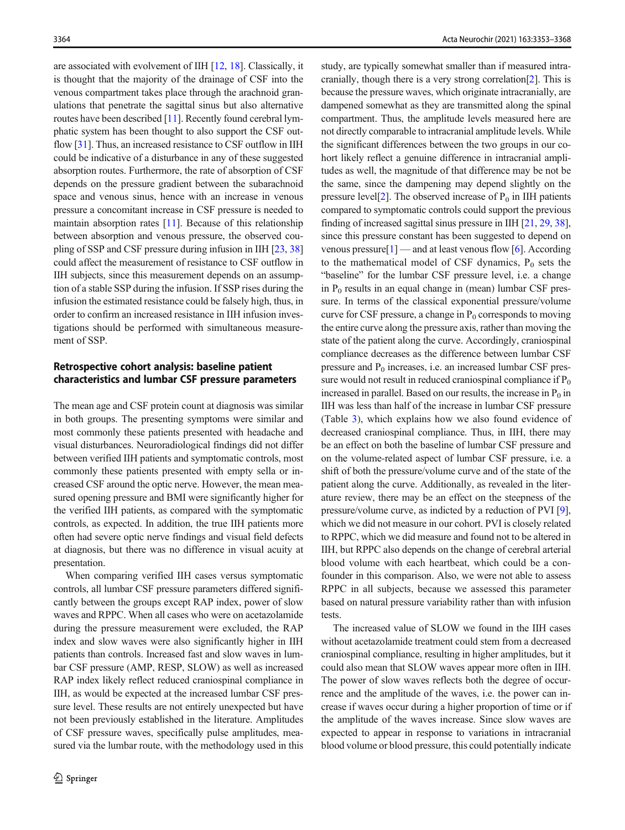are associated with evolvement of IIH [\[12](#page-14-0), [18\]](#page-14-0). Classically, it is thought that the majority of the drainage of CSF into the venous compartment takes place through the arachnoid granulations that penetrate the sagittal sinus but also alternative routes have been described [\[11](#page-14-0)]. Recently found cerebral lymphatic system has been thought to also support the CSF outflow [\[31\]](#page-14-0). Thus, an increased resistance to CSF outflow in IIH could be indicative of a disturbance in any of these suggested absorption routes. Furthermore, the rate of absorption of CSF depends on the pressure gradient between the subarachnoid space and venous sinus, hence with an increase in venous pressure a concomitant increase in CSF pressure is needed to maintain absorption rates [[11](#page-14-0)]. Because of this relationship between absorption and venous pressure, the observed coupling of SSP and CSF pressure during infusion in IIH [[23,](#page-14-0) [38\]](#page-14-0) could affect the measurement of resistance to CSF outflow in IIH subjects, since this measurement depends on an assumption of a stable SSP during the infusion. If SSP rises during the infusion the estimated resistance could be falsely high, thus, in order to confirm an increased resistance in IIH infusion investigations should be performed with simultaneous measurement of SSP.

### Retrospective cohort analysis: baseline patient characteristics and lumbar CSF pressure parameters

The mean age and CSF protein count at diagnosis was similar in both groups. The presenting symptoms were similar and most commonly these patients presented with headache and visual disturbances. Neuroradiological findings did not differ between verified IIH patients and symptomatic controls, most commonly these patients presented with empty sella or increased CSF around the optic nerve. However, the mean measured opening pressure and BMI were significantly higher for the verified IIH patients, as compared with the symptomatic controls, as expected. In addition, the true IIH patients more often had severe optic nerve findings and visual field defects at diagnosis, but there was no difference in visual acuity at presentation.

When comparing verified IIH cases versus symptomatic controls, all lumbar CSF pressure parameters differed significantly between the groups except RAP index, power of slow waves and RPPC. When all cases who were on acetazolamide during the pressure measurement were excluded, the RAP index and slow waves were also significantly higher in IIH patients than controls. Increased fast and slow waves in lumbar CSF pressure (AMP, RESP, SLOW) as well as increased RAP index likely reflect reduced craniospinal compliance in IIH, as would be expected at the increased lumbar CSF pressure level. These results are not entirely unexpected but have not been previously established in the literature. Amplitudes of CSF pressure waves, specifically pulse amplitudes, measured via the lumbar route, with the methodology used in this study, are typically somewhat smaller than if measured intracranially, though there is a very strong correlation[[2](#page-13-0)]. This is because the pressure waves, which originate intracranially, are dampened somewhat as they are transmitted along the spinal compartment. Thus, the amplitude levels measured here are not directly comparable to intracranial amplitude levels. While the significant differences between the two groups in our cohort likely reflect a genuine difference in intracranial amplitudes as well, the magnitude of that difference may be not be the same, since the dampening may depend slightly on the pressure level[[2\]](#page-13-0). The observed increase of  $P_0$  in IIH patients compared to symptomatic controls could support the previous finding of increased sagittal sinus pressure in IIH [\[21,](#page-14-0) [29](#page-14-0), [38\]](#page-14-0), since this pressure constant has been suggested to depend on venous pressure[\[1\]](#page-13-0) — and at least venous flow [[6\]](#page-13-0). According to the mathematical model of CSF dynamics,  $P_0$  sets the "baseline" for the lumbar CSF pressure level, i.e. a change in  $P_0$  results in an equal change in (mean) lumbar CSF pressure. In terms of the classical exponential pressure/volume curve for CSF pressure, a change in  $P_0$  corresponds to moving the entire curve along the pressure axis, rather than moving the state of the patient along the curve. Accordingly, craniospinal compliance decreases as the difference between lumbar CSF pressure and  $P_0$  increases, i.e. an increased lumbar CSF pressure would not result in reduced craniospinal compliance if  $P_0$ increased in parallel. Based on our results, the increase in  $P_0$  in IIH was less than half of the increase in lumbar CSF pressure (Table [3](#page-9-0)), which explains how we also found evidence of decreased craniospinal compliance. Thus, in IIH, there may be an effect on both the baseline of lumbar CSF pressure and on the volume-related aspect of lumbar CSF pressure, i.e. a shift of both the pressure/volume curve and of the state of the patient along the curve. Additionally, as revealed in the literature review, there may be an effect on the steepness of the pressure/volume curve, as indicted by a reduction of PVI [[9\]](#page-13-0), which we did not measure in our cohort. PVI is closely related to RPPC, which we did measure and found not to be altered in IIH, but RPPC also depends on the change of cerebral arterial blood volume with each heartbeat, which could be a confounder in this comparison. Also, we were not able to assess RPPC in all subjects, because we assessed this parameter based on natural pressure variability rather than with infusion tests.

The increased value of SLOW we found in the IIH cases without acetazolamide treatment could stem from a decreased craniospinal compliance, resulting in higher amplitudes, but it could also mean that SLOW waves appear more often in IIH. The power of slow waves reflects both the degree of occurrence and the amplitude of the waves, i.e. the power can increase if waves occur during a higher proportion of time or if the amplitude of the waves increase. Since slow waves are expected to appear in response to variations in intracranial blood volume or blood pressure, this could potentially indicate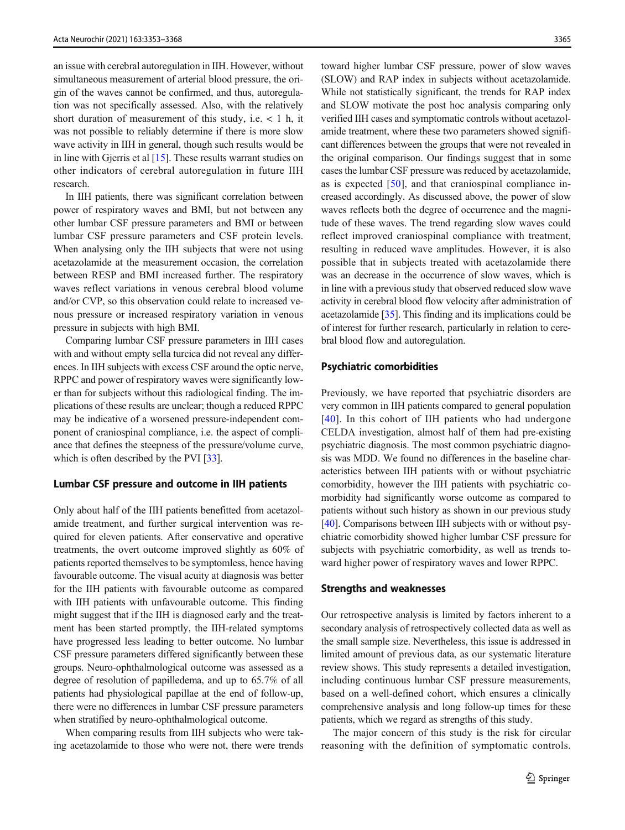an issue with cerebral autoregulation in IIH. However, without simultaneous measurement of arterial blood pressure, the origin of the waves cannot be confirmed, and thus, autoregulation was not specifically assessed. Also, with the relatively short duration of measurement of this study, i.e. < 1 h, it was not possible to reliably determine if there is more slow wave activity in IIH in general, though such results would be in line with Gjerris et al [[15\]](#page-14-0). These results warrant studies on other indicators of cerebral autoregulation in future IIH research.

In IIH patients, there was significant correlation between power of respiratory waves and BMI, but not between any other lumbar CSF pressure parameters and BMI or between lumbar CSF pressure parameters and CSF protein levels. When analysing only the IIH subjects that were not using acetazolamide at the measurement occasion, the correlation between RESP and BMI increased further. The respiratory waves reflect variations in venous cerebral blood volume and/or CVP, so this observation could relate to increased venous pressure or increased respiratory variation in venous pressure in subjects with high BMI.

Comparing lumbar CSF pressure parameters in IIH cases with and without empty sella turcica did not reveal any differences. In IIH subjects with excess CSF around the optic nerve, RPPC and power of respiratory waves were significantly lower than for subjects without this radiological finding. The implications of these results are unclear; though a reduced RPPC may be indicative of a worsened pressure-independent component of craniospinal compliance, i.e. the aspect of compliance that defines the steepness of the pressure/volume curve, which is often described by the PVI [\[33\]](#page-14-0).

### Lumbar CSF pressure and outcome in IIH patients

Only about half of the IIH patients benefitted from acetazolamide treatment, and further surgical intervention was required for eleven patients. After conservative and operative treatments, the overt outcome improved slightly as 60% of patients reported themselves to be symptomless, hence having favourable outcome. The visual acuity at diagnosis was better for the IIH patients with favourable outcome as compared with IIH patients with unfavourable outcome. This finding might suggest that if the IIH is diagnosed early and the treatment has been started promptly, the IIH-related symptoms have progressed less leading to better outcome. No lumbar CSF pressure parameters differed significantly between these groups. Neuro-ophthalmological outcome was assessed as a degree of resolution of papilledema, and up to 65.7% of all patients had physiological papillae at the end of follow-up, there were no differences in lumbar CSF pressure parameters when stratified by neuro-ophthalmological outcome.

When comparing results from IIH subjects who were taking acetazolamide to those who were not, there were trends toward higher lumbar CSF pressure, power of slow waves (SLOW) and RAP index in subjects without acetazolamide. While not statistically significant, the trends for RAP index and SLOW motivate the post hoc analysis comparing only verified IIH cases and symptomatic controls without acetazolamide treatment, where these two parameters showed significant differences between the groups that were not revealed in the original comparison. Our findings suggest that in some cases the lumbar CSF pressure was reduced by acetazolamide, as is expected [\[50](#page-15-0)], and that craniospinal compliance increased accordingly. As discussed above, the power of slow waves reflects both the degree of occurrence and the magnitude of these waves. The trend regarding slow waves could reflect improved craniospinal compliance with treatment, resulting in reduced wave amplitudes. However, it is also possible that in subjects treated with acetazolamide there was an decrease in the occurrence of slow waves, which is in line with a previous study that observed reduced slow wave activity in cerebral blood flow velocity after administration of acetazolamide [[35](#page-14-0)]. This finding and its implications could be of interest for further research, particularly in relation to cerebral blood flow and autoregulation.

### Psychiatric comorbidities

Previously, we have reported that psychiatric disorders are very common in IIH patients compared to general population [[40\]](#page-14-0). In this cohort of IIH patients who had undergone CELDA investigation, almost half of them had pre-existing psychiatric diagnosis. The most common psychiatric diagnosis was MDD. We found no differences in the baseline characteristics between IIH patients with or without psychiatric comorbidity, however the IIH patients with psychiatric comorbidity had significantly worse outcome as compared to patients without such history as shown in our previous study [\[40](#page-14-0)]. Comparisons between IIH subjects with or without psychiatric comorbidity showed higher lumbar CSF pressure for subjects with psychiatric comorbidity, as well as trends toward higher power of respiratory waves and lower RPPC.

### Strengths and weaknesses

Our retrospective analysis is limited by factors inherent to a secondary analysis of retrospectively collected data as well as the small sample size. Nevertheless, this issue is addressed in limited amount of previous data, as our systematic literature review shows. This study represents a detailed investigation, including continuous lumbar CSF pressure measurements, based on a well-defined cohort, which ensures a clinically comprehensive analysis and long follow-up times for these patients, which we regard as strengths of this study.

The major concern of this study is the risk for circular reasoning with the definition of symptomatic controls.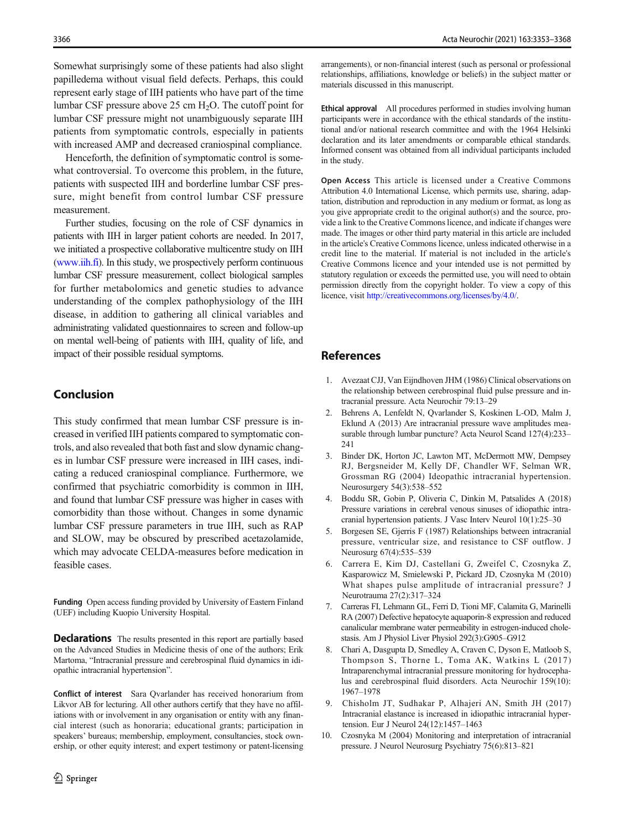<span id="page-13-0"></span>Somewhat surprisingly some of these patients had also slight papilledema without visual field defects. Perhaps, this could represent early stage of IIH patients who have part of the time lumbar CSF pressure above 25 cm  $H<sub>2</sub>O$ . The cutoff point for lumbar CSF pressure might not unambiguously separate IIH patients from symptomatic controls, especially in patients with increased AMP and decreased craniospinal compliance.

Henceforth, the definition of symptomatic control is somewhat controversial. To overcome this problem, in the future, patients with suspected IIH and borderline lumbar CSF pressure, might benefit from control lumbar CSF pressure measurement.

Further studies, focusing on the role of CSF dynamics in patients with IIH in larger patient cohorts are needed. In 2017, we initiated a prospective collaborative multicentre study on IIH [\(www.iih.fi\)](http://www.iih.fi). In this study, we prospectively perform continuous lumbar CSF pressure measurement, collect biological samples for further metabolomics and genetic studies to advance understanding of the complex pathophysiology of the IIH disease, in addition to gathering all clinical variables and administrating validated questionnaires to screen and follow-up on mental well-being of patients with IIH, quality of life, and impact of their possible residual symptoms.

# Conclusion

This study confirmed that mean lumbar CSF pressure is increased in verified IIH patients compared to symptomatic controls, and also revealed that both fast and slow dynamic changes in lumbar CSF pressure were increased in IIH cases, indicating a reduced craniospinal compliance. Furthermore, we confirmed that psychiatric comorbidity is common in IIH, and found that lumbar CSF pressure was higher in cases with comorbidity than those without. Changes in some dynamic lumbar CSF pressure parameters in true IIH, such as RAP and SLOW, may be obscured by prescribed acetazolamide, which may advocate CELDA-measures before medication in feasible cases.

Funding Open access funding provided by University of Eastern Finland (UEF) including Kuopio University Hospital.

**Declarations** The results presented in this report are partially based on the Advanced Studies in Medicine thesis of one of the authors; Erik Martoma, "Intracranial pressure and cerebrospinal fluid dynamics in idiopathic intracranial hypertension".

Conflict of interest Sara Qvarlander has received honorarium from Likvor AB for lecturing. All other authors certify that they have no affiliations with or involvement in any organisation or entity with any financial interest (such as honoraria; educational grants; participation in speakers' bureaus; membership, employment, consultancies, stock ownership, or other equity interest; and expert testimony or patent-licensing arrangements), or non-financial interest (such as personal or professional relationships, affiliations, knowledge or beliefs) in the subject matter or materials discussed in this manuscript.

Ethical approval All procedures performed in studies involving human participants were in accordance with the ethical standards of the institutional and/or national research committee and with the 1964 Helsinki declaration and its later amendments or comparable ethical standards. Informed consent was obtained from all individual participants included in the study.

Open Access This article is licensed under a Creative Commons Attribution 4.0 International License, which permits use, sharing, adaptation, distribution and reproduction in any medium or format, as long as you give appropriate credit to the original author(s) and the source, provide a link to the Creative Commons licence, and indicate if changes were made. The images or other third party material in this article are included in the article's Creative Commons licence, unless indicated otherwise in a credit line to the material. If material is not included in the article's Creative Commons licence and your intended use is not permitted by statutory regulation or exceeds the permitted use, you will need to obtain permission directly from the copyright holder. To view a copy of this licence, visit <http://creativecommons.org/licenses/by/4.0/>.

# References

- 1. Avezaat CJJ, Van Eijndhoven JHM (1986) Clinical observations on the relationship between cerebrospinal fluid pulse pressure and intracranial pressure. Acta Neurochir 79:13–29
- 2. Behrens A, Lenfeldt N, Qvarlander S, Koskinen L-OD, Malm J, Eklund A (2013) Are intracranial pressure wave amplitudes measurable through lumbar puncture? Acta Neurol Scand 127(4):233– 241
- 3. Binder DK, Horton JC, Lawton MT, McDermott MW, Dempsey RJ, Bergsneider M, Kelly DF, Chandler WF, Selman WR, Grossman RG (2004) Ideopathic intracranial hypertension. Neurosurgery 54(3):538–552
- 4. Boddu SR, Gobin P, Oliveria C, Dinkin M, Patsalides A (2018) Pressure variations in cerebral venous sinuses of idiopathic intracranial hypertension patients. J Vasc Interv Neurol 10(1):25–30
- 5. Borgesen SE, Gjerris F (1987) Relationships between intracranial pressure, ventricular size, and resistance to CSF outflow. J Neurosurg 67(4):535–539
- 6. Carrera E, Kim DJ, Castellani G, Zweifel C, Czosnyka Z, Kasparowicz M, Smielewski P, Pickard JD, Czosnyka M (2010) What shapes pulse amplitude of intracranial pressure? J Neurotrauma 27(2):317–324
- 7. Carreras FI, Lehmann GL, Ferri D, Tioni MF, Calamita G, Marinelli RA (2007) Defective hepatocyte aquaporin-8 expression and reduced canalicular membrane water permeability in estrogen-induced cholestasis. Am J Physiol Liver Physiol 292(3):G905–G912
- 8. Chari A, Dasgupta D, Smedley A, Craven C, Dyson E, Matloob S, Thompson S, Thorne L, Toma AK, Watkins L (2017) Intraparenchymal intracranial pressure monitoring for hydrocephalus and cerebrospinal fluid disorders. Acta Neurochir 159(10): 1967–1978
- 9. Chisholm JT, Sudhakar P, Alhajeri AN, Smith JH (2017) Intracranial elastance is increased in idiopathic intracranial hypertension. Eur J Neurol 24(12):1457–1463
- 10. Czosnyka M (2004) Monitoring and interpretation of intracranial pressure. J Neurol Neurosurg Psychiatry 75(6):813–821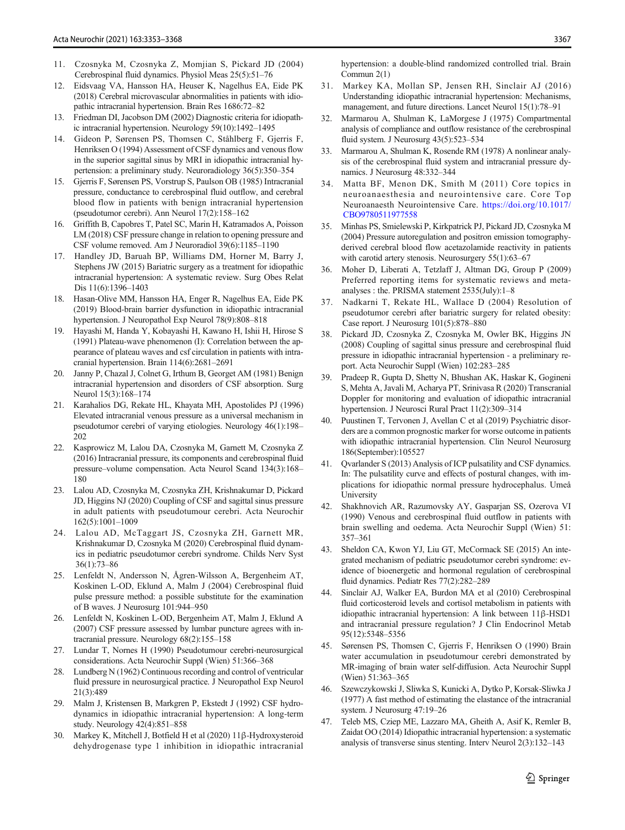- <span id="page-14-0"></span>11. Czosnyka M, Czosnyka Z, Momjian S, Pickard JD (2004) Cerebrospinal fluid dynamics. Physiol Meas 25(5):51–76
- 12. Eidsvaag VA, Hansson HA, Heuser K, Nagelhus EA, Eide PK (2018) Cerebral microvascular abnormalities in patients with idiopathic intracranial hypertension. Brain Res 1686:72–82
- 13. Friedman DI, Jacobson DM (2002) Diagnostic criteria for idiopathic intracranial hypertension. Neurology 59(10):1492–1495
- 14. Gideon P, Sørensen PS, Thomsen C, Ståhlberg F, Gjerris F, Henriksen O (1994) Assessment of CSF dynamics and venous flow in the superior sagittal sinus by MRI in idiopathic intracranial hypertension: a preliminary study. Neuroradiology 36(5):350–354
- 15. Gjerris F, Sørensen PS, Vorstrup S, Paulson OB (1985) Intracranial pressure, conductance to cerebrospinal fluid outflow, and cerebral blood flow in patients with benign intracranial hypertension (pseudotumor cerebri). Ann Neurol 17(2):158–162
- 16. Griffith B, Capobres T, Patel SC, Marin H, Katramados A, Poisson LM (2018) CSF pressure change in relation to opening pressure and CSF volume removed. Am J Neuroradiol 39(6):1185–1190
- 17. Handley JD, Baruah BP, Williams DM, Horner M, Barry J, Stephens JW (2015) Bariatric surgery as a treatment for idiopathic intracranial hypertension: A systematic review. Surg Obes Relat Dis 11(6):1396-1403
- 18. Hasan-Olive MM, Hansson HA, Enger R, Nagelhus EA, Eide PK (2019) Blood-brain barrier dysfunction in idiopathic intracranial hypertension. J Neuropathol Exp Neurol 78(9):808–818
- 19. Hayashi M, Handa Y, Kobayashi H, Kawano H, Ishii H, Hirose S (1991) Plateau-wave phenomenon (I): Correlation between the appearance of plateau waves and csf circulation in patients with intracranial hypertension. Brain 114(6):2681–2691
- 20. Janny P, Chazal J, Colnet G, Irthum B, Georget AM (1981) Benign intracranial hypertension and disorders of CSF absorption. Surg Neurol 15(3):168–174
- 21. Karahalios DG, Rekate HL, Khayata MH, Apostolides PJ (1996) Elevated intracranial venous pressure as a universal mechanism in pseudotumor cerebri of varying etiologies. Neurology 46(1):198– 202
- 22. Kasprowicz M, Lalou DA, Czosnyka M, Garnett M, Czosnyka Z (2016) Intracranial pressure, its components and cerebrospinal fluid pressure–volume compensation. Acta Neurol Scand 134(3):168– 180
- 23. Lalou AD, Czosnyka M, Czosnyka ZH, Krishnakumar D, Pickard JD, Higgins NJ (2020) Coupling of CSF and sagittal sinus pressure in adult patients with pseudotumour cerebri. Acta Neurochir 162(5):1001–1009
- 24. Lalou AD, McTaggart JS, Czosnyka ZH, Garnett MR, Krishnakumar D, Czosnyka M (2020) Cerebrospinal fluid dynamics in pediatric pseudotumor cerebri syndrome. Childs Nerv Syst 36(1):73–86
- 25. Lenfeldt N, Andersson N, Ågren-Wilsson A, Bergenheim AT, Koskinen L-OD, Eklund A, Malm J (2004) Cerebrospinal fluid pulse pressure method: a possible substitute for the examination of B waves. J Neurosurg 101:944–950
- 26. Lenfeldt N, Koskinen L-OD, Bergenheim AT, Malm J, Eklund A (2007) CSF pressure assessed by lumbar puncture agrees with intracranial pressure. Neurology 68(2):155–158
- 27. Lundar T, Nornes H (1990) Pseudotumour cerebri-neurosurgical considerations. Acta Neurochir Suppl (Wien) 51:366–368
- 28. Lundberg N (1962) Continuous recording and control of ventricular fluid pressure in neurosurgical practice. J Neuropathol Exp Neurol 21(3):489
- 29. Malm J, Kristensen B, Markgren P, Ekstedt J (1992) CSF hydrodynamics in idiopathic intracranial hypertension: A long-term study. Neurology 42(4):851–858
- 30. Markey K, Mitchell J, Botfield H et al (2020) 11β-Hydroxysteroid dehydrogenase type 1 inhibition in idiopathic intracranial

hypertension: a double-blind randomized controlled trial. Brain Commun 2(1)

- 31. Markey KA, Mollan SP, Jensen RH, Sinclair AJ (2016) Understanding idiopathic intracranial hypertension: Mechanisms, management, and future directions. Lancet Neurol 15(1):78–91
- 32. Marmarou A, Shulman K, LaMorgese J (1975) Compartmental analysis of compliance and outflow resistance of the cerebrospinal fluid system. J Neurosurg 43(5):523–534
- 33. Marmarou A, Shulman K, Rosende RM (1978) A nonlinear analysis of the cerebrospinal fluid system and intracranial pressure dynamics. J Neurosurg 48:332–344
- 34. Matta BF, Menon DK, Smith M (2011) Core topics in neuroanaesthesia and neurointensive care. Core Top Neuroanaesth Neurointensive Care. [https://doi.org/10.1017/](https://doi.org/10.1017/CBO9780511977558) [CBO9780511977558](https://doi.org/10.1017/CBO9780511977558)
- 35. Minhas PS, Smielewski P, Kirkpatrick PJ, Pickard JD, Czosnyka M (2004) Pressure autoregulation and positron emission tomographyderived cerebral blood flow acetazolamide reactivity in patients with carotid artery stenosis. Neurosurgery 55(1):63-67
- 36. Moher D, Liberati A, Tetzlaff J, Altman DG, Group P (2009) Preferred reporting items for systematic reviews and metaanalyses : the. PRISMA statement 2535(July):1–8
- 37. Nadkarni T, Rekate HL, Wallace D (2004) Resolution of pseudotumor cerebri after bariatric surgery for related obesity: Case report. J Neurosurg 101(5):878–880
- 38. Pickard JD, Czosnyka Z, Czosnyka M, Owler BK, Higgins JN (2008) Coupling of sagittal sinus pressure and cerebrospinal fluid pressure in idiopathic intracranial hypertension - a preliminary report. Acta Neurochir Suppl (Wien) 102:283–285
- 39. Pradeep R, Gupta D, Shetty N, Bhushan AK, Haskar K, Gogineni S, Mehta A, Javali M, Acharya PT, Srinivasa R (2020) Transcranial Doppler for monitoring and evaluation of idiopathic intracranial hypertension. J Neurosci Rural Pract 11(2):309–314
- 40. Puustinen T, Tervonen J, Avellan C et al (2019) Psychiatric disorders are a common prognostic marker for worse outcome in patients with idiopathic intracranial hypertension. Clin Neurol Neurosurg 186(September):105527
- 41. Qvarlander S (2013) Analysis of ICP pulsatility and CSF dynamics. In: The pulsatility curve and effects of postural changes, with implications for idiopathic normal pressure hydrocephalus. Umeå University
- 42. Shakhnovich AR, Razumovsky AY, Gasparjan SS, Ozerova VI (1990) Venous and cerebrospinal fluid outflow in patients with brain swelling and oedema. Acta Neurochir Suppl (Wien) 51: 357–361
- 43. Sheldon CA, Kwon YJ, Liu GT, McCormack SE (2015) An integrated mechanism of pediatric pseudotumor cerebri syndrome: evidence of bioenergetic and hormonal regulation of cerebrospinal fluid dynamics. Pediatr Res 77(2):282–289
- 44. Sinclair AJ, Walker EA, Burdon MA et al (2010) Cerebrospinal fluid corticosteroid levels and cortisol metabolism in patients with idiopathic intracranial hypertension: A link between 11β-HSD1 and intracranial pressure regulation? J Clin Endocrinol Metab 95(12):5348–5356
- 45. Sørensen PS, Thomsen C, Gjerris F, Henriksen O (1990) Brain water accumulation in pseudotumour cerebri demonstrated by MR-imaging of brain water self-diffusion. Acta Neurochir Suppl (Wien) 51:363–365
- 46. Szewczykowski J, Sliwka S, Kunicki A, Dytko P, Korsak-Sliwka J (1977) A fast method of estimating the elastance of the intracranial system. J Neurosurg 47:19–26
- Teleb MS, Cziep ME, Lazzaro MA, Gheith A, Asif K, Remler B, Zaidat OO (2014) Idiopathic intracranial hypertension: a systematic analysis of transverse sinus stenting. Interv Neurol 2(3):132–143